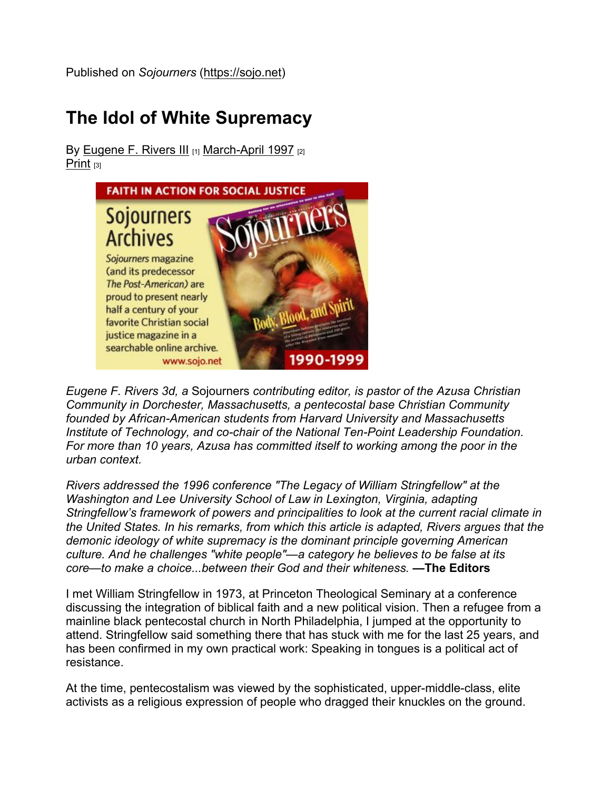Published on Sojourners (https://sojo.net)

## The Idol of White Supremacy

By Eugene F. Rivers III [1] March-April 1997 [2] Print  $[3]$ 



Eugene F. Rivers 3d, a Sojourners contributing editor, is pastor of the Azusa Christian Community in Dorchester, Massachusetts, a pentecostal base Christian Community founded by African-American students from Harvard University and Massachusetts Institute of Technology, and co-chair of the National Ten-Point Leadership Foundation. For more than 10 years, Azusa has committed itself to working among the poor in the urban context.

Rivers addressed the 1996 conference "The Legacy of William Stringfellow" at the Washington and Lee University School of Law in Lexington, Virginia, adapting Stringfellow's framework of powers and principalities to look at the current racial climate in the United States. In his remarks, from which this article is adapted, Rivers argues that the demonic ideology of white supremacy is the dominant principle governing American culture. And he challenges "white people"—a category he believes to be false at its core—to make a choice...between their God and their whiteness. —The Editors

I met William Stringfellow in 1973, at Princeton Theological Seminary at a conference discussing the integration of biblical faith and a new political vision. Then a refugee from a mainline black pentecostal church in North Philadelphia, I jumped at the opportunity to attend. Stringfellow said something there that has stuck with me for the last 25 years, and has been confirmed in my own practical work: Speaking in tongues is a political act of resistance.

At the time, pentecostalism was viewed by the sophisticated, upper-middle-class, elite activists as a religious expression of people who dragged their knuckles on the ground.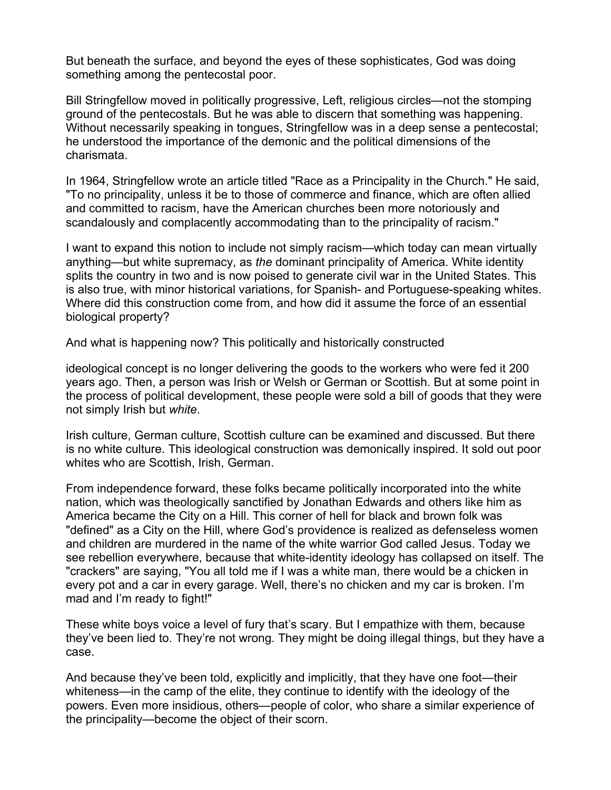But beneath the surface, and beyond the eyes of these sophisticates, God was doing something among the pentecostal poor.

Bill Stringfellow moved in politically progressive, Left, religious circles—not the stomping ground of the pentecostals. But he was able to discern that something was happening. Without necessarily speaking in tongues, Stringfellow was in a deep sense a pentecostal; he understood the importance of the demonic and the political dimensions of the charismata.

In 1964, Stringfellow wrote an article titled "Race as a Principality in the Church." He said, "To no principality, unless it be to those of commerce and finance, which are often allied and committed to racism, have the American churches been more notoriously and scandalously and complacently accommodating than to the principality of racism."

I want to expand this notion to include not simply racism—which today can mean virtually anything—but white supremacy, as the dominant principality of America. White identity splits the country in two and is now poised to generate civil war in the United States. This is also true, with minor historical variations, for Spanish- and Portuguese-speaking whites. Where did this construction come from, and how did it assume the force of an essential biological property?

And what is happening now? This politically and historically constructed

ideological concept is no longer delivering the goods to the workers who were fed it 200 years ago. Then, a person was Irish or Welsh or German or Scottish. But at some point in the process of political development, these people were sold a bill of goods that they were not simply Irish but white.

Irish culture, German culture, Scottish culture can be examined and discussed. But there is no white culture. This ideological construction was demonically inspired. It sold out poor whites who are Scottish, Irish, German.

From independence forward, these folks became politically incorporated into the white nation, which was theologically sanctified by Jonathan Edwards and others like him as America became the City on a Hill. This corner of hell for black and brown folk was "defined" as a City on the Hill, where God's providence is realized as defenseless women and children are murdered in the name of the white warrior God called Jesus. Today we see rebellion everywhere, because that white-identity ideology has collapsed on itself. The "crackers" are saying, "You all told me if I was a white man, there would be a chicken in every pot and a car in every garage. Well, there's no chicken and my car is broken. I'm mad and I'm ready to fight!"

These white boys voice a level of fury that's scary. But I empathize with them, because they've been lied to. They're not wrong. They might be doing illegal things, but they have a case.

And because they've been told, explicitly and implicitly, that they have one foot—their whiteness—in the camp of the elite, they continue to identify with the ideology of the powers. Even more insidious, others—people of color, who share a similar experience of the principality—become the object of their scorn.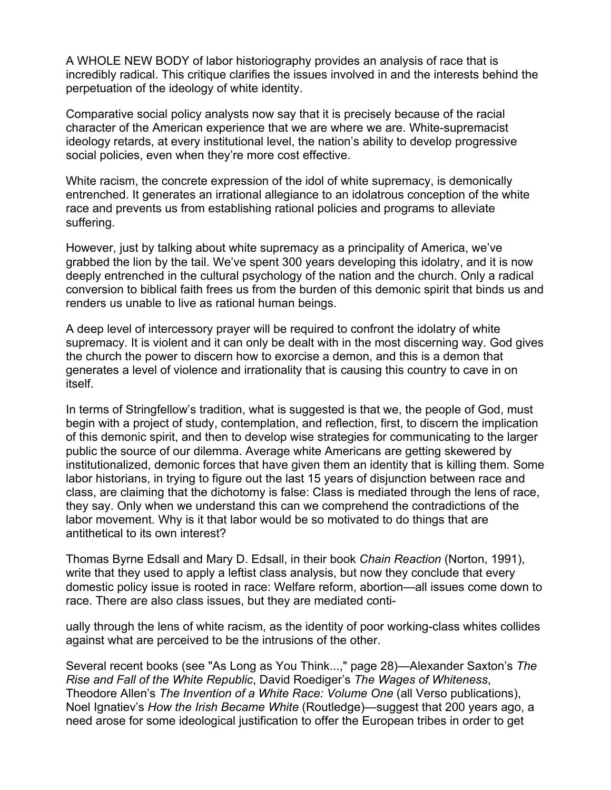A WHOLE NEW BODY of labor historiography provides an analysis of race that is incredibly radical. This critique clarifies the issues involved in and the interests behind the perpetuation of the ideology of white identity.

Comparative social policy analysts now say that it is precisely because of the racial character of the American experience that we are where we are. White-supremacist ideology retards, at every institutional level, the nation's ability to develop progressive social policies, even when they're more cost effective.

White racism, the concrete expression of the idol of white supremacy, is demonically entrenched. It generates an irrational allegiance to an idolatrous conception of the white race and prevents us from establishing rational policies and programs to alleviate suffering.

However, just by talking about white supremacy as a principality of America, we've grabbed the lion by the tail. We've spent 300 years developing this idolatry, and it is now deeply entrenched in the cultural psychology of the nation and the church. Only a radical conversion to biblical faith frees us from the burden of this demonic spirit that binds us and renders us unable to live as rational human beings.

A deep level of intercessory prayer will be required to confront the idolatry of white supremacy. It is violent and it can only be dealt with in the most discerning way. God gives the church the power to discern how to exorcise a demon, and this is a demon that generates a level of violence and irrationality that is causing this country to cave in on itself.

In terms of Stringfellow's tradition, what is suggested is that we, the people of God, must begin with a project of study, contemplation, and reflection, first, to discern the implication of this demonic spirit, and then to develop wise strategies for communicating to the larger public the source of our dilemma. Average white Americans are getting skewered by institutionalized, demonic forces that have given them an identity that is killing them. Some labor historians, in trying to figure out the last 15 years of disjunction between race and class, are claiming that the dichotomy is false: Class is mediated through the lens of race, they say. Only when we understand this can we comprehend the contradictions of the labor movement. Why is it that labor would be so motivated to do things that are antithetical to its own interest?

Thomas Byrne Edsall and Mary D. Edsall, in their book Chain Reaction (Norton, 1991), write that they used to apply a leftist class analysis, but now they conclude that every domestic policy issue is rooted in race: Welfare reform, abortion—all issues come down to race. There are also class issues, but they are mediated conti-

ually through the lens of white racism, as the identity of poor working-class whites collides against what are perceived to be the intrusions of the other.

Several recent books (see "As Long as You Think...," page 28)—Alexander Saxton's The Rise and Fall of the White Republic, David Roediger's The Wages of Whiteness, Theodore Allen's The Invention of a White Race: Volume One (all Verso publications), Noel Ignatiev's How the Irish Became White (Routledge)—suggest that 200 years ago, a need arose for some ideological justification to offer the European tribes in order to get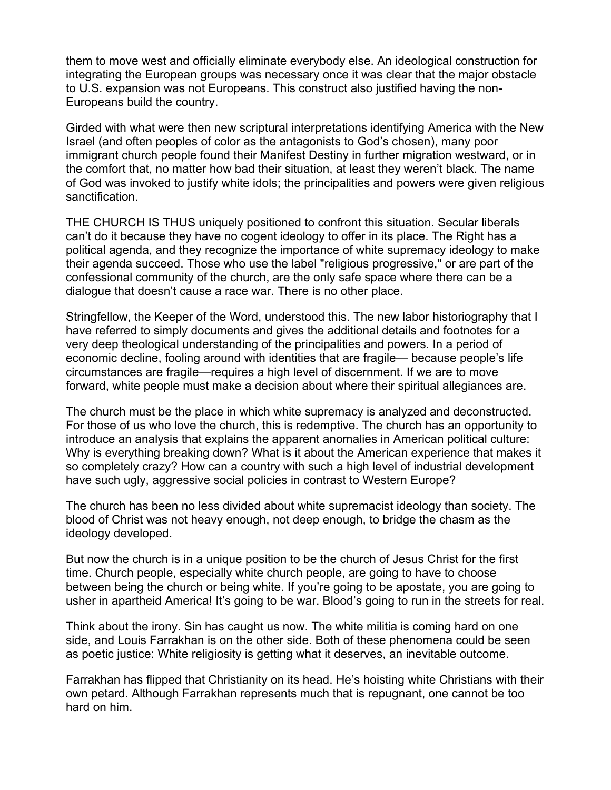them to move west and officially eliminate everybody else. An ideological construction for integrating the European groups was necessary once it was clear that the major obstacle to U.S. expansion was not Europeans. This construct also justified having the non-Europeans build the country.

Girded with what were then new scriptural interpretations identifying America with the New Israel (and often peoples of color as the antagonists to God's chosen), many poor immigrant church people found their Manifest Destiny in further migration westward, or in the comfort that, no matter how bad their situation, at least they weren't black. The name of God was invoked to justify white idols; the principalities and powers were given religious sanctification.

THE CHURCH IS THUS uniquely positioned to confront this situation. Secular liberals can't do it because they have no cogent ideology to offer in its place. The Right has a political agenda, and they recognize the importance of white supremacy ideology to make their agenda succeed. Those who use the label "religious progressive," or are part of the confessional community of the church, are the only safe space where there can be a dialogue that doesn't cause a race war. There is no other place.

Stringfellow, the Keeper of the Word, understood this. The new labor historiography that I have referred to simply documents and gives the additional details and footnotes for a very deep theological understanding of the principalities and powers. In a period of economic decline, fooling around with identities that are fragile— because people's life circumstances are fragile—requires a high level of discernment. If we are to move forward, white people must make a decision about where their spiritual allegiances are.

The church must be the place in which white supremacy is analyzed and deconstructed. For those of us who love the church, this is redemptive. The church has an opportunity to introduce an analysis that explains the apparent anomalies in American political culture: Why is everything breaking down? What is it about the American experience that makes it so completely crazy? How can a country with such a high level of industrial development have such ugly, aggressive social policies in contrast to Western Europe?

The church has been no less divided about white supremacist ideology than society. The blood of Christ was not heavy enough, not deep enough, to bridge the chasm as the ideology developed.

But now the church is in a unique position to be the church of Jesus Christ for the first time. Church people, especially white church people, are going to have to choose between being the church or being white. If you're going to be apostate, you are going to usher in apartheid America! It's going to be war. Blood's going to run in the streets for real.

Think about the irony. Sin has caught us now. The white militia is coming hard on one side, and Louis Farrakhan is on the other side. Both of these phenomena could be seen as poetic justice: White religiosity is getting what it deserves, an inevitable outcome.

Farrakhan has flipped that Christianity on its head. He's hoisting white Christians with their own petard. Although Farrakhan represents much that is repugnant, one cannot be too hard on him.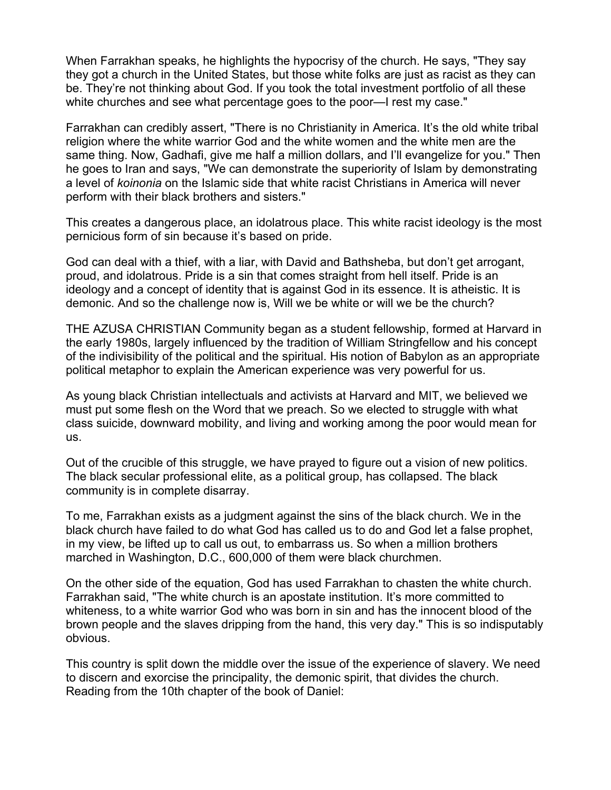When Farrakhan speaks, he highlights the hypocrisy of the church. He says, "They say they got a church in the United States, but those white folks are just as racist as they can be. They're not thinking about God. If you took the total investment portfolio of all these white churches and see what percentage goes to the poor—I rest my case."

Farrakhan can credibly assert, "There is no Christianity in America. It's the old white tribal religion where the white warrior God and the white women and the white men are the same thing. Now, Gadhafi, give me half a million dollars, and I'll evangelize for you." Then he goes to Iran and says, "We can demonstrate the superiority of Islam by demonstrating a level of koinonia on the Islamic side that white racist Christians in America will never perform with their black brothers and sisters."

This creates a dangerous place, an idolatrous place. This white racist ideology is the most pernicious form of sin because it's based on pride.

God can deal with a thief, with a liar, with David and Bathsheba, but don't get arrogant, proud, and idolatrous. Pride is a sin that comes straight from hell itself. Pride is an ideology and a concept of identity that is against God in its essence. It is atheistic. It is demonic. And so the challenge now is, Will we be white or will we be the church?

THE AZUSA CHRISTIAN Community began as a student fellowship, formed at Harvard in the early 1980s, largely influenced by the tradition of William Stringfellow and his concept of the indivisibility of the political and the spiritual. His notion of Babylon as an appropriate political metaphor to explain the American experience was very powerful for us.

As young black Christian intellectuals and activists at Harvard and MIT, we believed we must put some flesh on the Word that we preach. So we elected to struggle with what class suicide, downward mobility, and living and working among the poor would mean for us.

Out of the crucible of this struggle, we have prayed to figure out a vision of new politics. The black secular professional elite, as a political group, has collapsed. The black community is in complete disarray.

To me, Farrakhan exists as a judgment against the sins of the black church. We in the black church have failed to do what God has called us to do and God let a false prophet, in my view, be lifted up to call us out, to embarrass us. So when a million brothers marched in Washington, D.C., 600,000 of them were black churchmen.

On the other side of the equation, God has used Farrakhan to chasten the white church. Farrakhan said, "The white church is an apostate institution. It's more committed to whiteness, to a white warrior God who was born in sin and has the innocent blood of the brown people and the slaves dripping from the hand, this very day." This is so indisputably obvious.

This country is split down the middle over the issue of the experience of slavery. We need to discern and exorcise the principality, the demonic spirit, that divides the church. Reading from the 10th chapter of the book of Daniel: